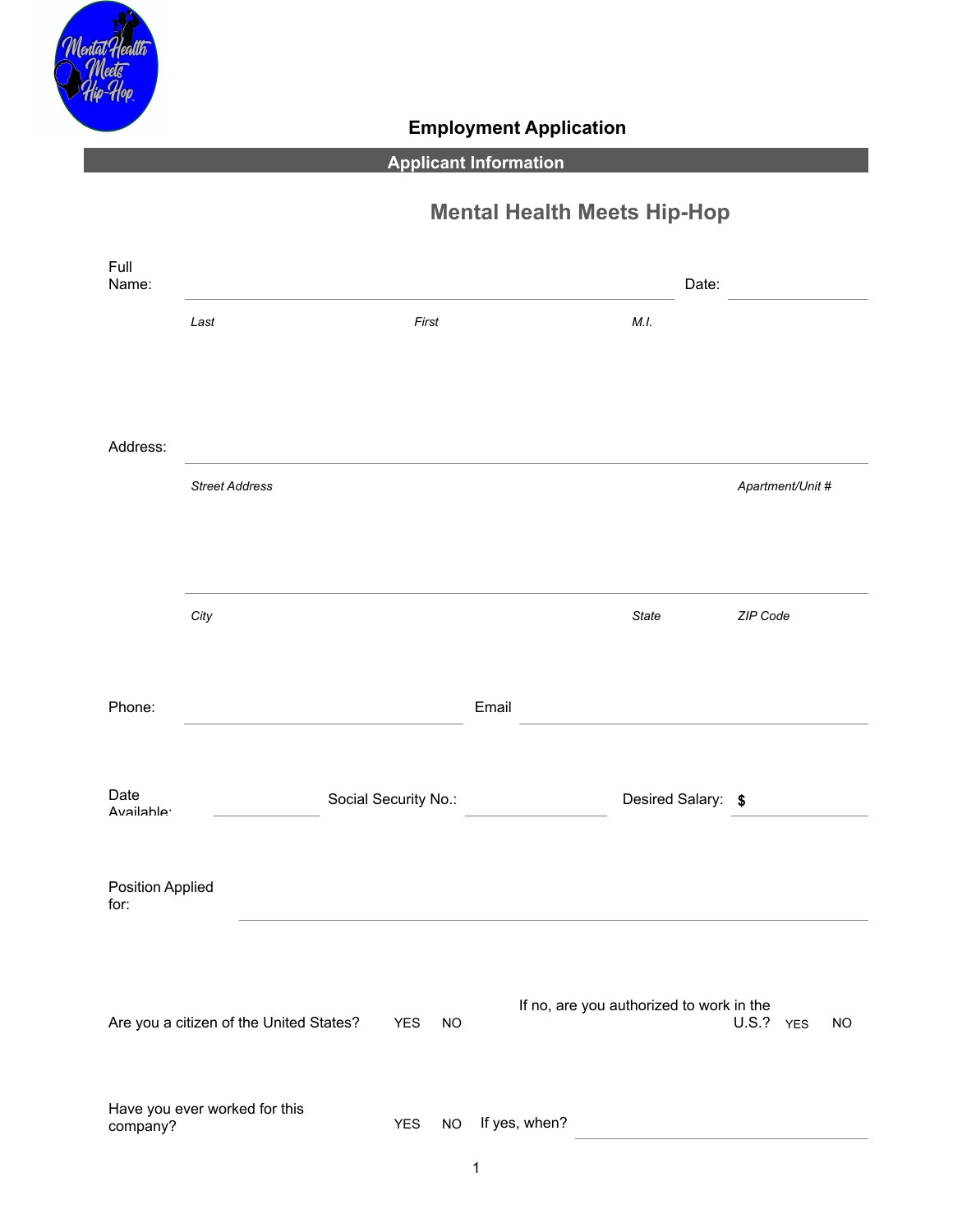

## **Employment Application**

## **Applicant Information**

# **Mental Health Meets Hip-Hop**

| Full<br>Name:                   |                                         |                      |            |           |       |                                          |                    | Date: |                  |           |
|---------------------------------|-----------------------------------------|----------------------|------------|-----------|-------|------------------------------------------|--------------------|-------|------------------|-----------|
|                                 | Last                                    |                      | First      |           |       |                                          | M.I.               |       |                  |           |
|                                 |                                         |                      |            |           |       |                                          |                    |       |                  |           |
|                                 |                                         |                      |            |           |       |                                          |                    |       |                  |           |
| Address:                        |                                         |                      |            |           |       |                                          |                    |       |                  |           |
|                                 | <b>Street Address</b>                   |                      |            |           |       |                                          |                    |       | Apartment/Unit # |           |
|                                 |                                         |                      |            |           |       |                                          |                    |       |                  |           |
|                                 |                                         |                      |            |           |       |                                          |                    |       |                  |           |
|                                 | City                                    |                      |            |           |       |                                          | State              |       | ZIP Code         |           |
|                                 |                                         |                      |            |           |       |                                          |                    |       |                  |           |
| Phone:                          |                                         |                      |            |           | Email |                                          |                    |       |                  |           |
|                                 |                                         |                      |            |           |       |                                          |                    |       |                  |           |
| Date                            |                                         | Social Security No.: |            |           |       |                                          | Desired Salary: \$ |       |                  |           |
| Availahle <sup>.</sup>          |                                         |                      |            |           |       |                                          |                    |       |                  |           |
| <b>Position Applied</b><br>for: |                                         |                      |            |           |       |                                          |                    |       |                  |           |
|                                 |                                         |                      |            |           |       |                                          |                    |       |                  |           |
|                                 |                                         |                      |            |           |       | If no, are you authorized to work in the |                    |       |                  |           |
|                                 | Are you a citizen of the United States? |                      | <b>YES</b> | <b>NO</b> |       |                                          |                    |       | U.S.? YES        | <b>NO</b> |
|                                 |                                         |                      |            |           |       |                                          |                    |       |                  |           |
| company?                        | Have you ever worked for this           |                      | <b>YES</b> | <b>NO</b> |       | If yes, when?                            |                    |       |                  |           |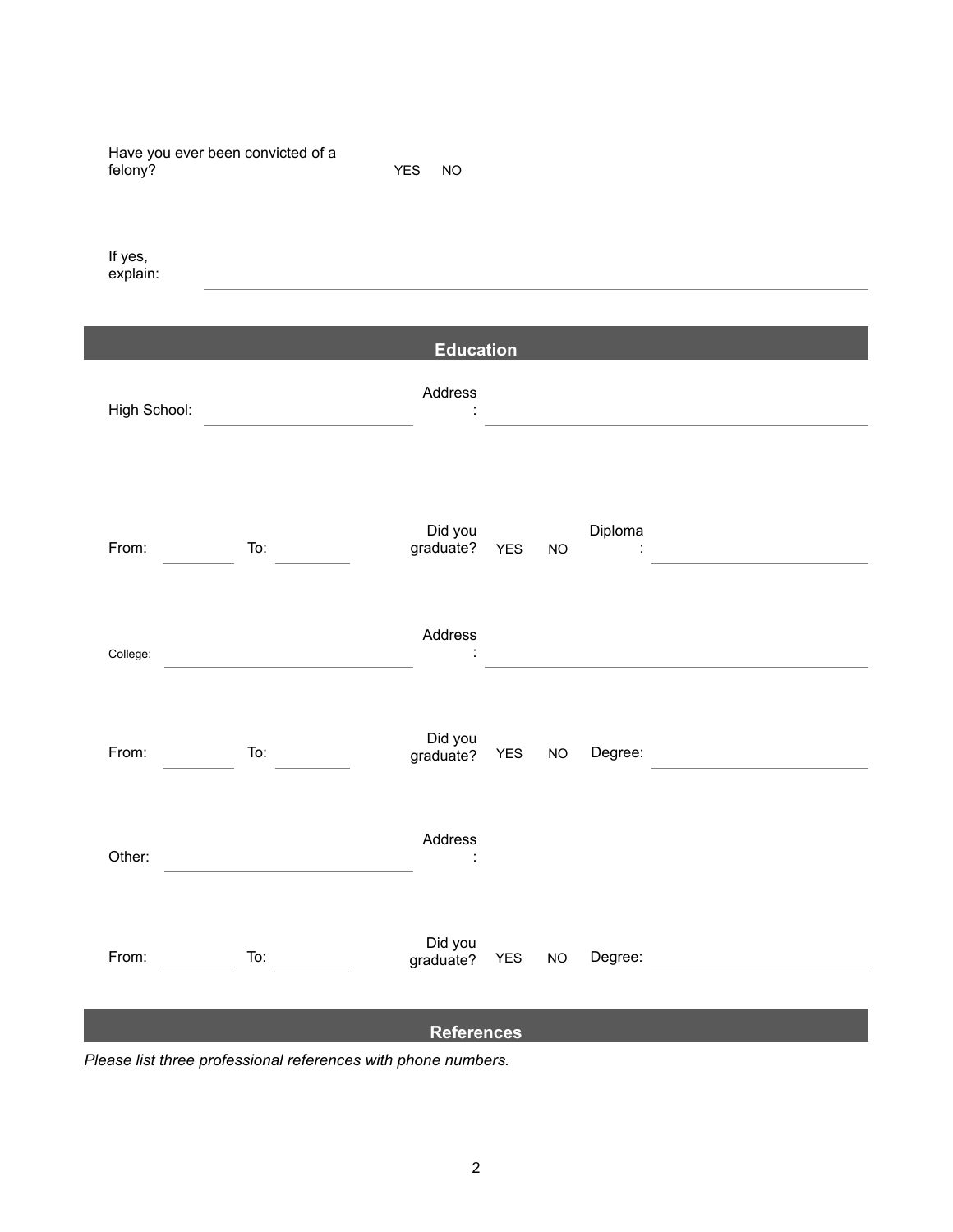Have you ever been convicted of a felony? YES NO

If yes, explain:

**Education** Address High School: : Did you Diploma From: To: graduate? YES NO : Address College: : Did you From: To: graduate? YES NO Degree: Address Other: : Did you From: To: graduate? YES NO Degree: **References**

*Please list three professional references with phone numbers.*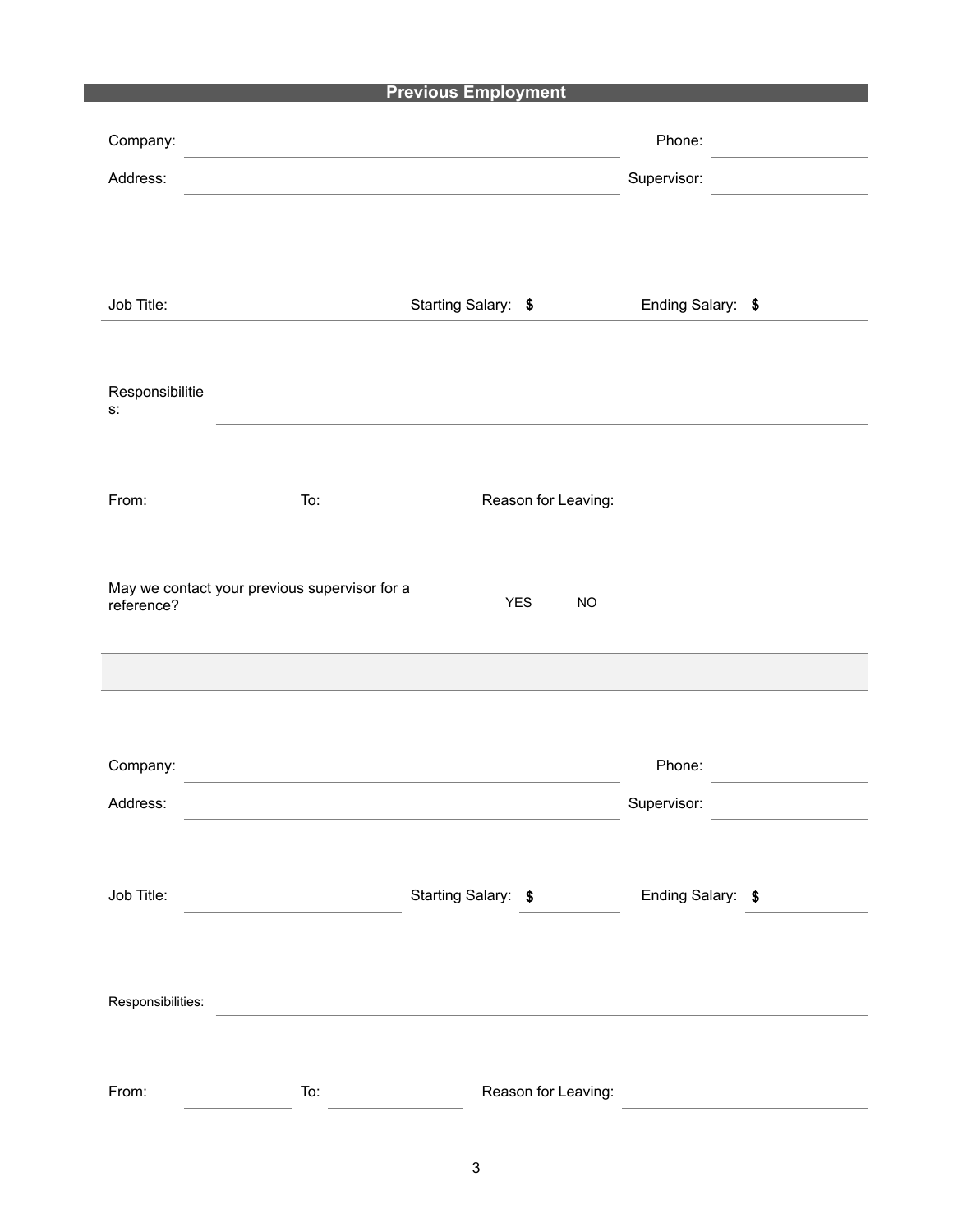### **Previous Employment**

| Company:                         |                                               |                         | Phone:            |
|----------------------------------|-----------------------------------------------|-------------------------|-------------------|
| Address:                         |                                               |                         | Supervisor:       |
|                                  |                                               |                         |                   |
|                                  |                                               |                         |                   |
|                                  |                                               |                         |                   |
| Job Title:                       |                                               | Starting Salary: \$     | Ending Salary: \$ |
|                                  |                                               |                         |                   |
| Responsibilitie<br>$\mathsf{S}.$ |                                               |                         |                   |
|                                  |                                               |                         |                   |
|                                  |                                               |                         |                   |
| From:                            | To:                                           | Reason for Leaving:     |                   |
|                                  |                                               |                         |                   |
| reference?                       | May we contact your previous supervisor for a | <b>YES</b><br><b>NO</b> |                   |
|                                  |                                               |                         |                   |
|                                  |                                               |                         |                   |
|                                  |                                               |                         |                   |
|                                  |                                               |                         |                   |
| Company:                         |                                               |                         | Phone:            |
| Address:                         |                                               |                         | Supervisor:       |
|                                  |                                               |                         |                   |
| Job Title:                       |                                               | Starting Salary: \$     | Ending Salary: \$ |
|                                  |                                               |                         |                   |
|                                  |                                               |                         |                   |
| Responsibilities:                |                                               |                         |                   |
|                                  |                                               |                         |                   |
|                                  |                                               |                         |                   |
| From:                            | To:                                           | Reason for Leaving:     |                   |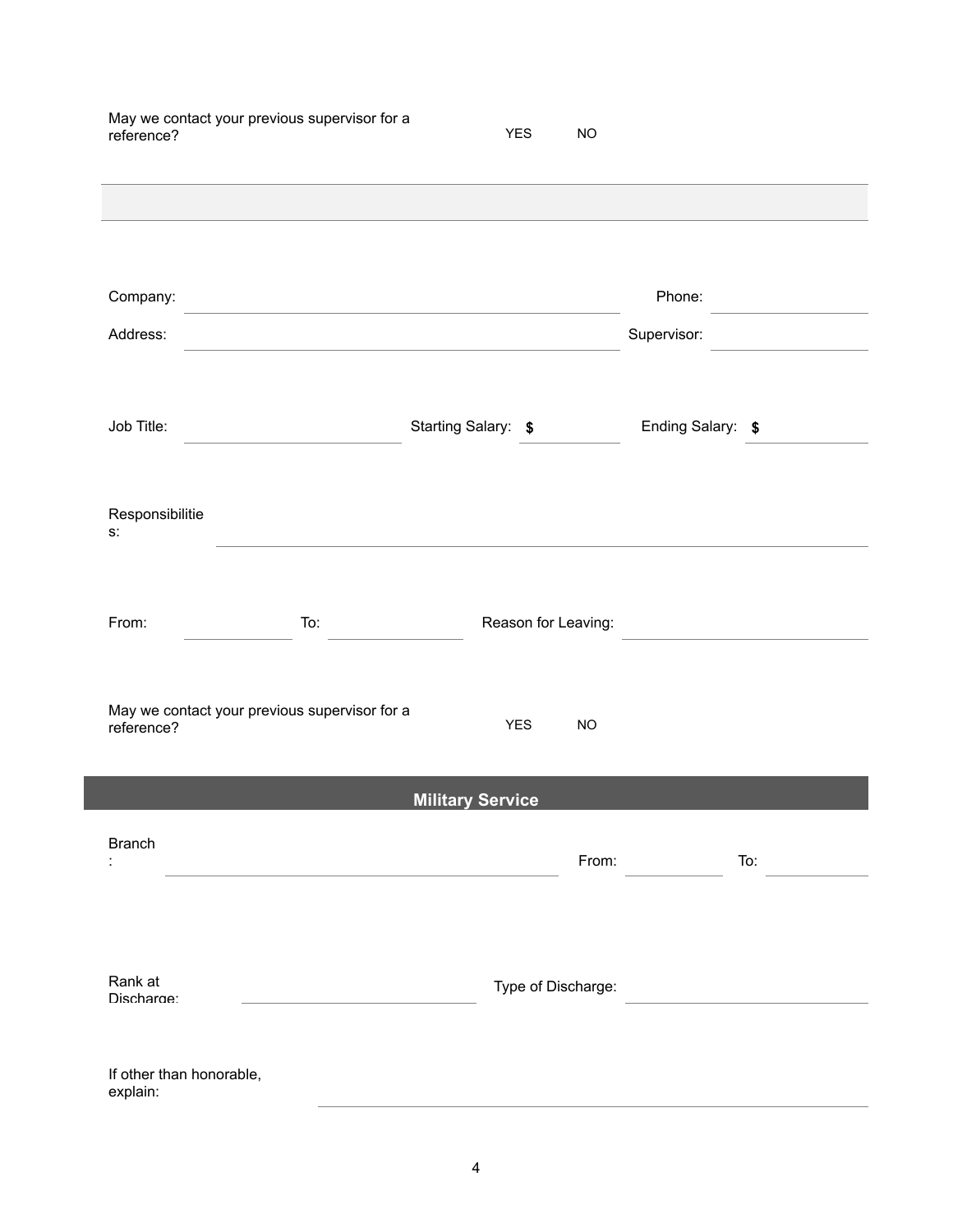| reference?                           | May we contact your previous supervisor for a                                                                         | <b>YES</b>              | <b>NO</b> |                   |
|--------------------------------------|-----------------------------------------------------------------------------------------------------------------------|-------------------------|-----------|-------------------|
|                                      |                                                                                                                       |                         |           |                   |
| Company:                             | <u> 1989 - Johann Barbara, martin amerikan basal dan berasal dalam basal dalam basal dalam basal dalam basal dala</u> |                         |           | Phone:            |
| Address:                             | <u> 1989 - Johann Barbara, martin amerikan personal (</u>                                                             |                         |           | Supervisor:       |
| Job Title:                           |                                                                                                                       | Starting Salary: \$     |           | Ending Salary: \$ |
| Responsibilitie<br>$S$ .             |                                                                                                                       |                         |           |                   |
| From:                                | To:                                                                                                                   | Reason for Leaving:     |           |                   |
| reference?                           | May we contact your previous supervisor for a                                                                         | <b>YES</b>              | <b>NO</b> |                   |
|                                      |                                                                                                                       | <b>Military Service</b> |           |                   |
| <b>Branch</b>                        |                                                                                                                       |                         | From:     | To:               |
| Rank at<br>Discharge:                |                                                                                                                       | Type of Discharge:      |           |                   |
| If other than honorable,<br>explain: |                                                                                                                       |                         |           |                   |